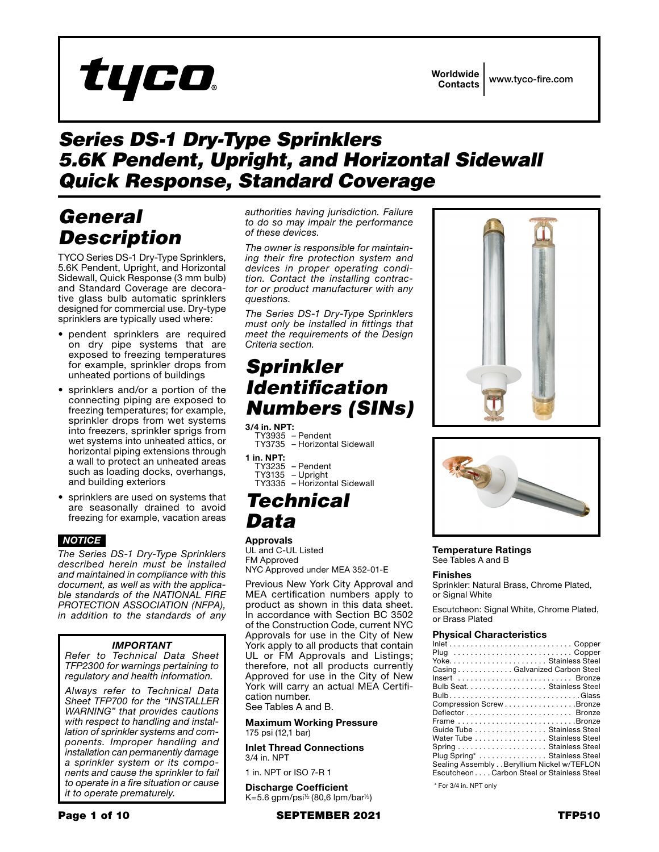# tyco

Worldwide Contacts www.tyco-fire.com

### *Series DS-1 Dry-Type Sprinklers 5.6K Pendent, Upright, and Horizontal Sidewall Quick Response, Standard Coverage*

### *General Description*

TYCO Series DS-1 Dry-Type Sprinklers, 5.6K Pendent, Upright, and Horizontal Sidewall, Quick Response (3 mm bulb) and Standard Coverage are decorative glass bulb automatic sprinklers designed for commercial use. Dry-type sprinklers are typically used where:

- pendent sprinklers are required on dry pipe systems that are exposed to freezing temperatures for example, sprinkler drops from unheated portions of buildings
- sprinklers and/or a portion of the connecting piping are exposed to freezing temperatures; for example, sprinkler drops from wet systems into freezers, sprinkler sprigs from wet systems into unheated attics, or horizontal piping extensions through a wall to protect an unheated areas such as loading docks, overhangs, and building exteriors
- sprinklers are used on systems that are seasonally drained to avoid freezing for example, vacation areas

#### *NOTICE*

*The Series DS-1 Dry-Type Sprinklers described herein must be installed and maintained in compliance with this document, as well as with the applicable standards of the NATIONAL FIRE PROTECTION ASSOCIATION (NFPA), in addition to the standards of any* 

#### *IMPORTANT*

*Refer to Technical Data Sheet TFP2300 for warnings pertaining to regulatory and health information.*

*Always refer to Technical Data Sheet TFP700 for the "INSTALLER WARNING" that provides cautions with respect to handling and installation of sprinkler systems and components. Improper handling and installation can permanently damage a sprinkler system or its components and cause the sprinkler to fail to operate in a fire situation or cause it to operate prematurely.*

*authorities having jurisdiction. Failure to do so may impair the performance of these devices.*

*The owner is responsible for maintaining their fire protection system and devices in proper operating condition. Contact the installing contractor or product manufacturer with any questions.*

*The Series DS-1 Dry-Type Sprinklers must only be installed in fittings that meet the requirements of the Design Criteria section.*

### *Sprinkler Identification Numbers (SINs)*

**3/4 in. NPT:** TY3935 – Pendent TY3735 – Horizontal Sidewall 1 in. NPT:

TY3235 – Pendent TY3135 – Upright TY3335 – Horizontal Sidewall

### *Technical Data*

#### **Approvals**

UL and C-UL Listed FM Approved NYC Approved under MEA 352-01-E

Previous New York City Approval and MEA certification numbers apply to product as shown in this data sheet. In accordance with Section BC 3502 of the Construction Code, current NYC Approvals for use in the City of New York apply to all products that contain UL or FM Approvals and Listings; therefore, not all products currently Approved for use in the City of New York will carry an actual MEA Certification number.

See Tables A and B.

Maximum Working Pressure 175 psi (12,1 bar)

Inlet Thread Connections 3/4 in. NPT

1 in. NPT or ISO 7-R 1

Discharge Coefficient  $K=5.6$  gpm/psi<sup> $\frac{1}{2}$ </sup> (80,6 lpm/bar<sup> $\frac{1}{2}$ </sup>)





Temperature Ratings See Tables A and B

#### Finishes

Sprinkler: Natural Brass, Chrome Plated, or Signal White

Escutcheon: Signal White, Chrome Plated, or Brass Plated

#### Physical Characteristics

| $Inlet \ldots \ldots \ldots \ldots \ldots \ldots \ldots \ldots \ldots$ . Copper |
|---------------------------------------------------------------------------------|
| Plug Copper                                                                     |
| Yoke Stainless Steel                                                            |
| CasingGalvanized Carbon Steel                                                   |
| Insert  Bronze                                                                  |
| Bulb Seat. Stainless Steel                                                      |
|                                                                                 |
| Compression Screw Bronze                                                        |
|                                                                                 |
| Frame Bronze                                                                    |
| Guide Tube Stainless Steel                                                      |
| Water Tube Stainless Steel                                                      |
|                                                                                 |
| Plug Spring* Stainless Steel                                                    |
| Sealing Assembly Beryllium Nickel w/TEFLON                                      |
| EscutcheonCarbon Steel or Stainless Steel                                       |
|                                                                                 |

\* For 3/4 in. NPT only

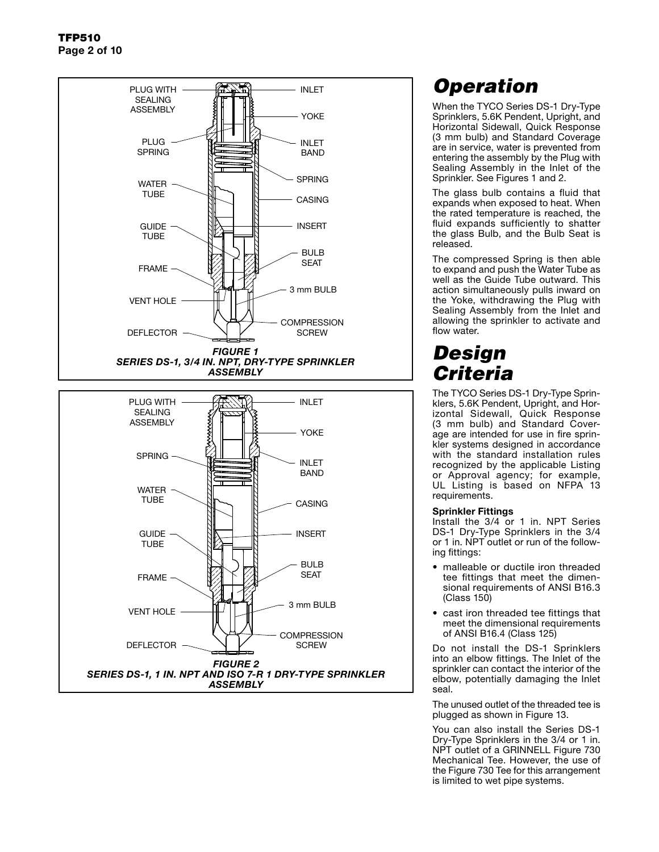



## *Operation*

When the TYCO Series DS-1 Dry-Type Sprinklers, 5.6K Pendent, Upright, and Horizontal Sidewall, Quick Response (3 mm bulb) and Standard Coverage are in service, water is prevented from entering the assembly by the Plug with Sealing Assembly in the Inlet of the Sprinkler. See Figures 1 and 2.

The glass bulb contains a fluid that expands when exposed to heat. When the rated temperature is reached, the fluid expands sufficiently to shatter the glass Bulb, and the Bulb Seat is released.

The compressed Spring is then able to expand and push the Water Tube as well as the Guide Tube outward. This action simultaneously pulls inward on the Yoke, withdrawing the Plug with Sealing Assembly from the Inlet and allowing the sprinkler to activate and flow water.

### *Design Criteria*

The TYCO Series DS-1 Dry-Type Sprinklers, 5.6K Pendent, Upright, and Horizontal Sidewall, Quick Response (3 mm bulb) and Standard Coverage are intended for use in fire sprinkler systems designed in accordance with the standard installation rules recognized by the applicable Listing or Approval agency; for example, UL Listing is based on NFPA 13 requirements.

#### Sprinkler Fittings

Install the 3/4 or 1 in. NPT Series DS-1 Dry-Type Sprinklers in the 3/4 or 1 in. NPT outlet or run of the following fittings:

- malleable or ductile iron threaded tee fittings that meet the dimensional requirements of ANSI B16.3 (Class 150)
- cast iron threaded tee fittings that meet the dimensional requirements of ANSI B16.4 (Class 125)

Do not install the DS-1 Sprinklers into an elbow fittings. The Inlet of the sprinkler can contact the interior of the elbow, potentially damaging the Inlet seal.

The unused outlet of the threaded tee is plugged as shown in Figure 13.

You can also install the Series DS-1 Dry-Type Sprinklers in the 3/4 or 1 in. NPT outlet of a GRINNELL Figure 730 Mechanical Tee. However, the use of the Figure 730 Tee for this arrangement is limited to wet pipe systems.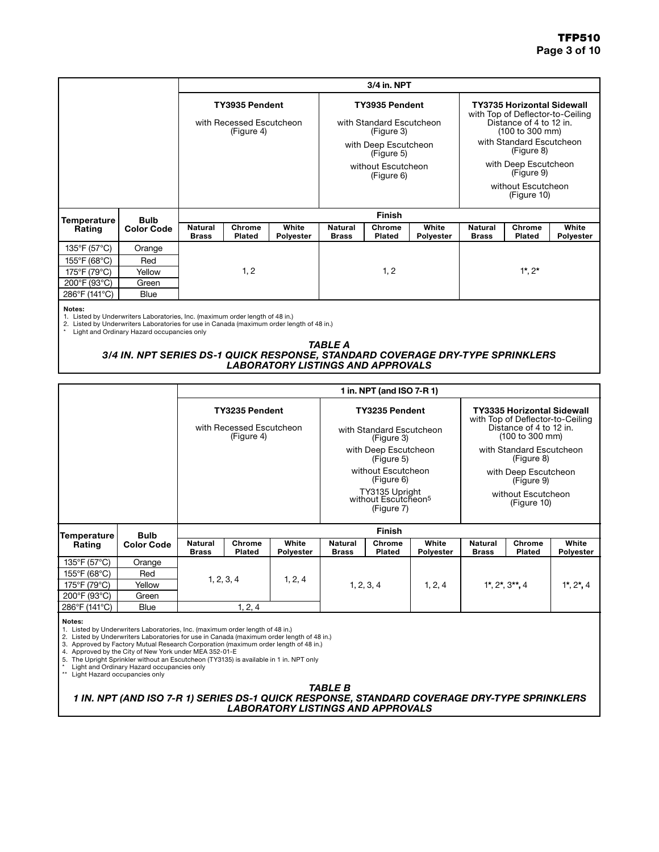|                        |                   | 3/4 in. NPT                    |                                                          |                           |                                    |                                                          |                                        |                                    |                                                                                                                     |                           |  |
|------------------------|-------------------|--------------------------------|----------------------------------------------------------|---------------------------|------------------------------------|----------------------------------------------------------|----------------------------------------|------------------------------------|---------------------------------------------------------------------------------------------------------------------|---------------------------|--|
|                        |                   |                                | TY3935 Pendent<br>with Recessed Escutcheon<br>(Figure 4) |                           |                                    | TY3935 Pendent<br>with Standard Escutcheon<br>(Figure 3) |                                        |                                    | <b>TY3735 Horizontal Sidewall</b><br>with Top of Deflector-to-Ceiling<br>Distance of 4 to 12 in.<br>(100 to 300 mm) |                           |  |
|                        |                   |                                |                                                          |                           | with Deep Escutcheon<br>(Figure 5) |                                                          | with Standard Escutcheon<br>(Figure 8) |                                    |                                                                                                                     |                           |  |
|                        |                   |                                |                                                          |                           |                                    | without Escutcheon<br>(Figure 6)                         |                                        | with Deep Escutcheon<br>(Figure 9) |                                                                                                                     |                           |  |
|                        |                   |                                |                                                          |                           |                                    |                                                          |                                        | without Escutcheon<br>(Figure 10)  |                                                                                                                     |                           |  |
| Temperature            | <b>Bulb</b>       |                                | <b>Finish</b>                                            |                           |                                    |                                                          |                                        |                                    |                                                                                                                     |                           |  |
| Rating                 | <b>Color Code</b> | <b>Natural</b><br><b>Brass</b> | Chrome<br>Plated                                         | White<br><b>Polyester</b> | Natural<br><b>Brass</b>            | Chrome<br>Plated                                         | White<br>Polyester                     | <b>Natural</b><br><b>Brass</b>     | Chrome<br>Plated                                                                                                    | White<br><b>Polyester</b> |  |
| 135°F (57°C)           | Orange            |                                |                                                          |                           |                                    |                                                          |                                        |                                    |                                                                                                                     |                           |  |
| 155°F (68°C)           | Red               |                                |                                                          |                           |                                    |                                                          |                                        |                                    |                                                                                                                     |                           |  |
| 175°F (79°C)<br>Yellow |                   | 1, 2                           |                                                          | 1, 2                      |                                    |                                                          | $1^{\star}$ , $2^{\star}$              |                                    |                                                                                                                     |                           |  |
| 200°F (93°C)           | Green             |                                |                                                          |                           |                                    |                                                          |                                        |                                    |                                                                                                                     |                           |  |
| 286°F (141°C)          | <b>Blue</b>       |                                |                                                          |                           |                                    |                                                          |                                        |                                    |                                                                                                                     |                           |  |

Notes: 1. Listed by Underwriters Laboratories, Inc. (maximum order length of 48 in.) 2. Listed by Underwriters Laboratories for use in Canada (maximum order length of 48 in.) \* Light and Ordinary Hazard occupancies only

#### *TABLE A 3/4 IN. NPT SERIES DS-1 QUICK RESPONSE, STANDARD COVERAGE DRY-TYPE SPRINKLERS LABORATORY LISTINGS AND APPROVALS*

|                                                               |                   |                                                                 |                  |                    |                                                                 | 1 in. NPT (and ISO 7-R 1)                                |                           |                                                                                                                     |                                        |                           |
|---------------------------------------------------------------|-------------------|-----------------------------------------------------------------|------------------|--------------------|-----------------------------------------------------------------|----------------------------------------------------------|---------------------------|---------------------------------------------------------------------------------------------------------------------|----------------------------------------|---------------------------|
| Rating<br>135°F (57°C)<br>155°F (68°C)<br>Red<br>175°F (79°C) |                   | <b>TY3235 Pendent</b><br>with Recessed Escutcheon<br>(Figure 4) |                  |                    |                                                                 | TY3235 Pendent<br>with Standard Escutcheon<br>(Figure 3) |                           | <b>TY3335 Horizontal Sidewall</b><br>with Top of Deflector-to-Ceiling<br>Distance of 4 to 12 in.<br>(100 to 300 mm) |                                        |                           |
| <b>Bulb</b><br>Temperature                                    |                   |                                                                 |                  |                    |                                                                 | with Deep Escutcheon<br>(Figure 5)                       |                           |                                                                                                                     | with Standard Escutcheon<br>(Figure 8) |                           |
|                                                               |                   |                                                                 |                  |                    |                                                                 | without Escutcheon<br>(Figure 6)                         |                           | with Deep Escutcheon<br>(Figure 9)                                                                                  |                                        |                           |
|                                                               |                   |                                                                 |                  |                    | TY3135 Upright<br>without Escutcheon <sup>5</sup><br>(Figure 7) |                                                          |                           | without Escutcheon<br>(Figure 10)                                                                                   |                                        |                           |
|                                                               |                   | <b>Finish</b>                                                   |                  |                    |                                                                 |                                                          |                           |                                                                                                                     |                                        |                           |
|                                                               | <b>Color Code</b> | Natural<br><b>Brass</b>                                         | Chrome<br>Plated | White<br>Polyester | <b>Natural</b><br><b>Brass</b>                                  | Chrome<br>Plated                                         | White<br><b>Polyester</b> | Natural<br><b>Brass</b>                                                                                             | Chrome<br><b>Plated</b>                | White<br><b>Polyester</b> |
|                                                               | Orange            |                                                                 |                  |                    |                                                                 |                                                          |                           |                                                                                                                     |                                        |                           |
|                                                               |                   |                                                                 | 1, 2, 3, 4       |                    |                                                                 |                                                          |                           |                                                                                                                     |                                        |                           |
|                                                               | Yellow            |                                                                 |                  | 1, 2, 4            |                                                                 | 1, 2, 3, 4                                               | 1, 2, 4                   | $1^{\star}$ , $2^{\star}$ , $3^{\star\star}$ , 4                                                                    |                                        | $1^{\star}, 2^{\star}, 4$ |
| 200°F (93°C)<br>Green                                         |                   |                                                                 |                  |                    |                                                                 |                                                          |                           |                                                                                                                     |                                        |                           |
| 286°F (141°C)                                                 | <b>Blue</b>       | 1, 2, 4                                                         |                  |                    |                                                                 |                                                          |                           |                                                                                                                     |                                        |                           |

#### Notes:

1. Listed by Underwriters Laboratories, Inc. (maximum order length of 48 in.) 2. Listed by Underwriters Laboratories for use in Canada (maximum order length of 48 in.)

3. Approved by Factory Mutual Research Corporation (maximum order length of 48 in.)<br>4. Approved by the City of New York under MEA 352-01-E<br>5. The Upright Sprinkler without an Escutcheon (TY3135) is available in 1 in. NPT o

*TABLE B*

*1 IN. NPT (AND ISO 7-R 1) SERIES DS-1 QUICK RESPONSE, STANDARD COVERAGE DRY-TYPE SPRINKLERS LABORATORY LISTINGS AND APPROVALS*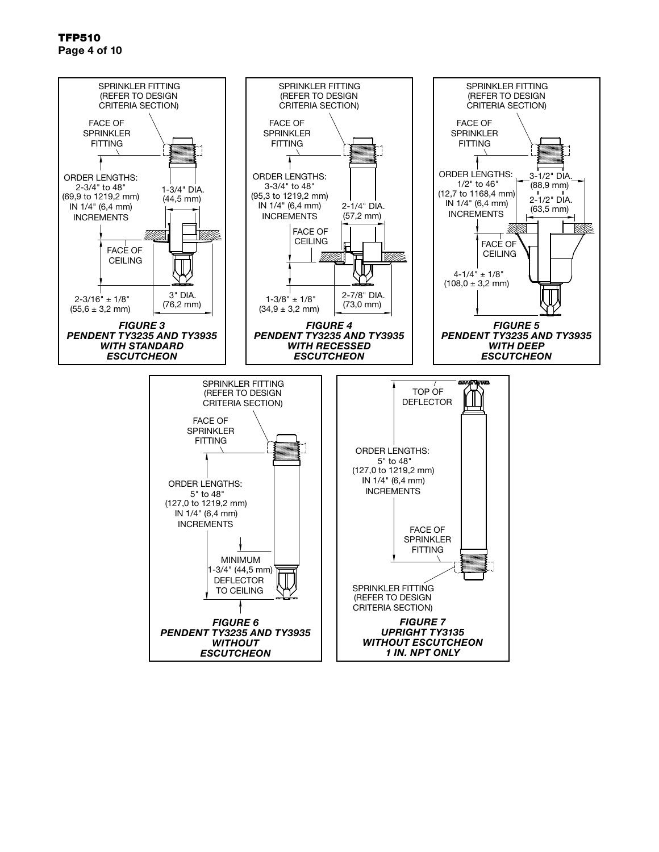TFP510 Page 4 of 10

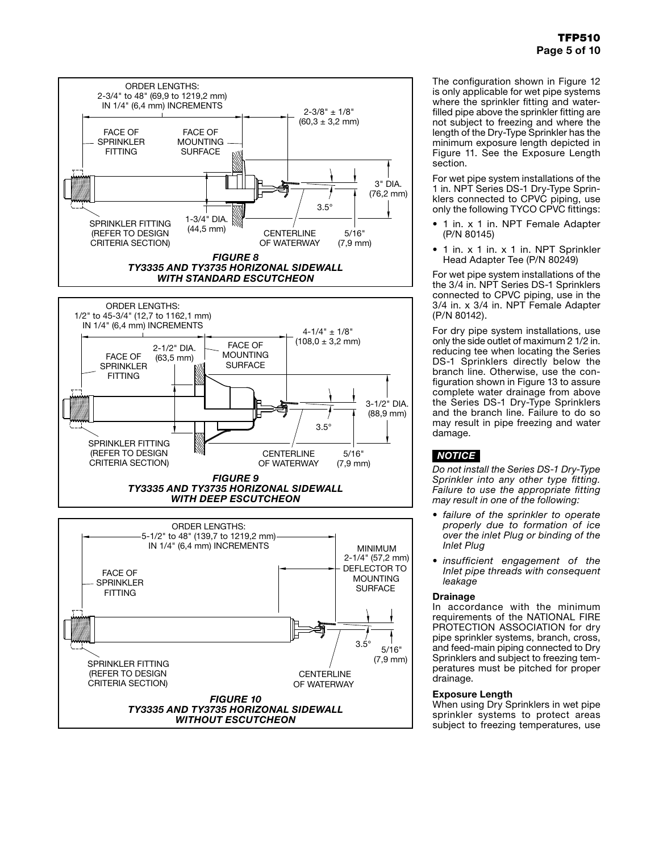

The configuration shown in Figure 12 is only applicable for wet pipe systems where the sprinkler fitting and waterfilled pipe above the sprinkler fitting are not subject to freezing and where the length of the Dry-Type Sprinkler has the minimum exposure length depicted in Figure 11. See the Exposure Length section.

For wet pipe system installations of the 1 in. NPT Series DS-1 Dry-Type Sprinklers connected to CPVC piping, use only the following TYCO CPVC fittings:

- 1 in. x 1 in. NPT Female Adapter (P/N 80145)
- 1 in. x 1 in. x 1 in. NPT Sprinkler Head Adapter Tee (P/N 80249)

For wet pipe system installations of the the 3/4 in. NPT Series DS-1 Sprinklers connected to CPVC piping, use in the 3/4 in. x 3/4 in. NPT Female Adapter (P/N 80142).

For dry pipe system installations, use only the side outlet of maximum 2 1/2 in. reducing tee when locating the Series DS-1 Sprinklers directly below the branch line. Otherwise, use the configuration shown in Figure 13 to assure complete water drainage from above the Series DS-1 Dry-Type Sprinklers and the branch line. Failure to do so may result in pipe freezing and water damage.

### *NOTICE*

*Do not install the Series DS-1 Dry-Type Sprinkler into any other type fitting. Failure to use the appropriate fitting may result in one of the following:*

- *• failure of the sprinkler to operate properly due to formation of ice over the inlet Plug or binding of the Inlet Plug*
- *• insufficient engagement of the Inlet pipe threads with consequent leakage*

#### Drainage

In accordance with the minimum requirements of the NATIONAL FIRE PROTECTION ASSOCIATION for dry pipe sprinkler systems, branch, cross, and feed-main piping connected to Dry Sprinklers and subject to freezing temperatures must be pitched for proper drainage.

#### Exposure Length

When using Dry Sprinklers in wet pipe sprinkler systems to protect areas subject to freezing temperatures, use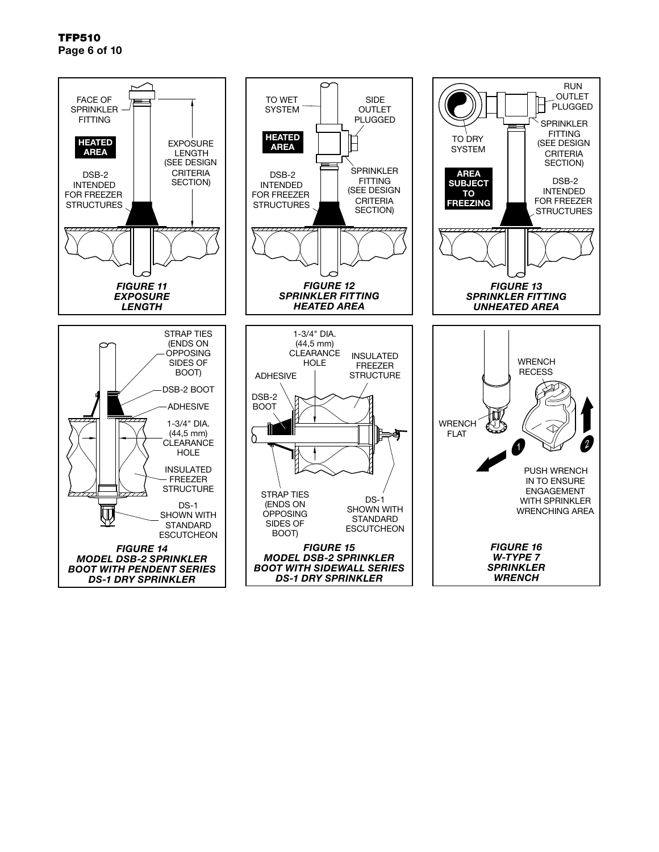TFP510 Page 6 of 10

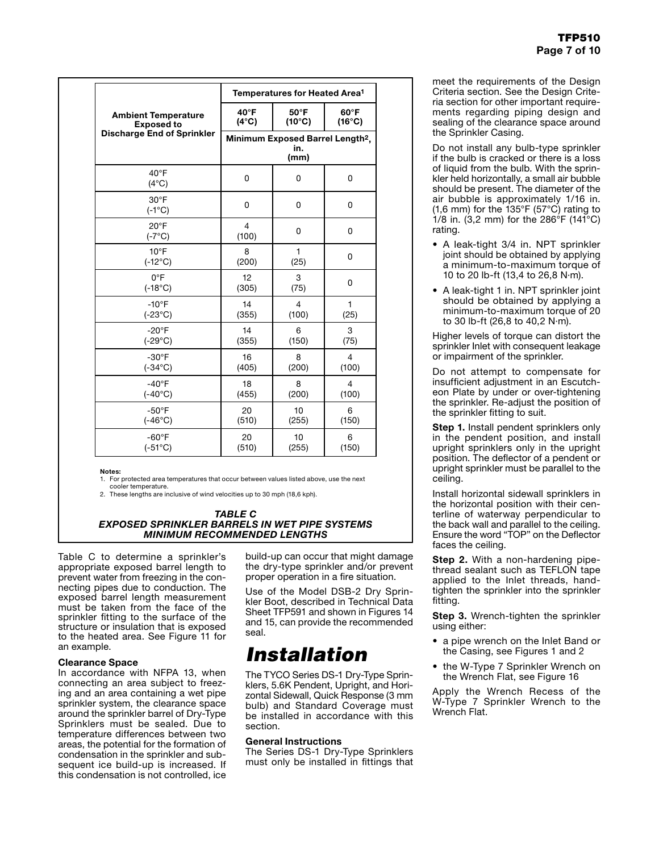|                                   | Temperatures for Heated Area <sup>1</sup>                   |                 |                 |  |  |  |  |
|-----------------------------------|-------------------------------------------------------------|-----------------|-----------------|--|--|--|--|
| <b>Ambient Temperature</b>        | 40°F                                                        | 50°F            | 60°F            |  |  |  |  |
| <b>Exposed to</b>                 | $(4^{\circ}C)$                                              | $(10^{\circ}C)$ | $(16^{\circ}C)$ |  |  |  |  |
| <b>Discharge End of Sprinkler</b> | Minimum Exposed Barrel Length <sup>2</sup> ,<br>in.<br>(mm) |                 |                 |  |  |  |  |
| $40^{\circ}$ F<br>$(4^{\circ}C)$  | 0                                                           | 0               | 0               |  |  |  |  |
| $30^{\circ}$ F<br>$(-1^{\circ}C)$ | 0                                                           | 0               | 0               |  |  |  |  |
| $20^{\circ}$ F<br>$(-7^{\circ}C)$ | $\overline{4}$<br>(100)                                     | 0               | 0               |  |  |  |  |
| $10^{\circ}$ F                    | 8                                                           | 1               | 0               |  |  |  |  |
| $(-12^{\circ}C)$                  | (200)                                                       | (25)            |                 |  |  |  |  |
| $0^{\circ}F$                      | 12                                                          | 3               | 0               |  |  |  |  |
| $(-18^{\circ}C)$                  | (305)                                                       | (75)            |                 |  |  |  |  |
| $-10^{\circ}$ F                   | 14                                                          | 4               | 1               |  |  |  |  |
| $(-23^{\circ}C)$                  | (355)                                                       | (100)           | (25)            |  |  |  |  |
| $-20^{\circ}$ F                   | 14                                                          | 6               | 3               |  |  |  |  |
| $(-29^{\circ}C)$                  | (355)                                                       | (150)           | (75)            |  |  |  |  |
| $-30^\circ F$                     | 16                                                          | 8               | $\overline{4}$  |  |  |  |  |
| $(-34^{\circ}C)$                  | (405)                                                       | (200)           | (100)           |  |  |  |  |
| $-40^{\circ}F$                    | 18                                                          | 8               | $\overline{4}$  |  |  |  |  |
| $(-40^{\circ}C)$                  | (455)                                                       | (200)           | (100)           |  |  |  |  |
| $-50^{\circ}$ F                   | 20                                                          | 10              | 6               |  |  |  |  |
| $(-46^{\circ}C)$                  | (510)                                                       | (255)           | (150)           |  |  |  |  |
| $-60^\circ F$                     | 20                                                          | 10              | 6               |  |  |  |  |
| $(-51^{\circ}C)$                  | (510)                                                       | (255)           | (150)           |  |  |  |  |

Notes:

1. For protected area temperatures that occur between values listed above, use the next

cooler temperature. 2. These lengths are inclusive of wind velocities up to 30 mph (18,6 kph).

#### *TABLE C EXPOSED SPRINKLER BARRELS IN WET PIPE SYSTEMS MINIMUM RECOMMENDED LENGTHS*

Table C to determine a sprinkler's appropriate exposed barrel length to prevent water from freezing in the connecting pipes due to conduction. The exposed barrel length measurement must be taken from the face of the sprinkler fitting to the surface of the structure or insulation that is exposed to the heated area. See Figure 11 for an example.

#### Clearance Space

In accordance with NFPA 13, when connecting an area subject to freezing and an area containing a wet pipe sprinkler system, the clearance space around the sprinkler barrel of Dry-Type Sprinklers must be sealed. Due to temperature differences between two areas, the potential for the formation of condensation in the sprinkler and subsequent ice build-up is increased. If this condensation is not controlled, ice

build-up can occur that might damage the dry-type sprinkler and/or prevent proper operation in a fire situation.

Use of the Model DSB-2 Dry Sprinkler Boot, described in Technical Data Sheet TFP591 and shown in Figures 14 and 15, can provide the recommended seal.

### *Installation*

The TYCO Series DS-1 Dry-Type Sprinklers, 5.6K Pendent, Upright, and Horizontal Sidewall, Quick Response (3 mm bulb) and Standard Coverage must be installed in accordance with this section.

#### General Instructions

The Series DS-1 Dry-Type Sprinklers must only be installed in fittings that

meet the requirements of the Design Criteria section. See the Design Criteria section for other important requirements regarding piping design and sealing of the clearance space around the Sprinkler Casing.

Do not install any bulb-type sprinkler if the bulb is cracked or there is a loss of liquid from the bulb. With the sprinkler held horizontally, a small air bubble should be present. The diameter of the air bubble is approximately 1/16 in. (1,6 mm) for the 135°F (57°C) rating to 1/8 in.  $(3, 2 \text{ mm})$  for the 286°F  $(141^{\circ} \text{C})$ rating.

- A leak-tight 3/4 in. NPT sprinkler joint should be obtained by applying a minimum-to-maximum torque of 10 to 20 lb-ft (13,4 to 26,8 N·m).
- A leak-tight 1 in. NPT sprinkler joint should be obtained by applying a minimum-to-maximum torque of 20 to 30 lb-ft (26,8 to 40,2 N·m).

Higher levels of torque can distort the sprinkler Inlet with consequent leakage or impairment of the sprinkler.

Do not attempt to compensate for insufficient adjustment in an Escutcheon Plate by under or over-tightening the sprinkler. Re-adjust the position of the sprinkler fitting to suit.

**Step 1.** Install pendent sprinklers only in the pendent position, and install upright sprinklers only in the upright position. The deflector of a pendent or upright sprinkler must be parallel to the ceiling.

Install horizontal sidewall sprinklers in the horizontal position with their centerline of waterway perpendicular to the back wall and parallel to the ceiling. Ensure the word "TOP" on the Deflector faces the ceiling.

**Step 2.** With a non-hardening pipethread sealant such as TEFLON tape applied to the Inlet threads, handtighten the sprinkler into the sprinkler fitting.

**Step 3.** Wrench-tighten the sprinkler using either:

- a pipe wrench on the Inlet Band or the Casing, see Figures 1 and 2
- the W-Type 7 Sprinkler Wrench on the Wrench Flat, see Figure 16

Apply the Wrench Recess of the W-Type 7 Sprinkler Wrench to the Wrench Flat.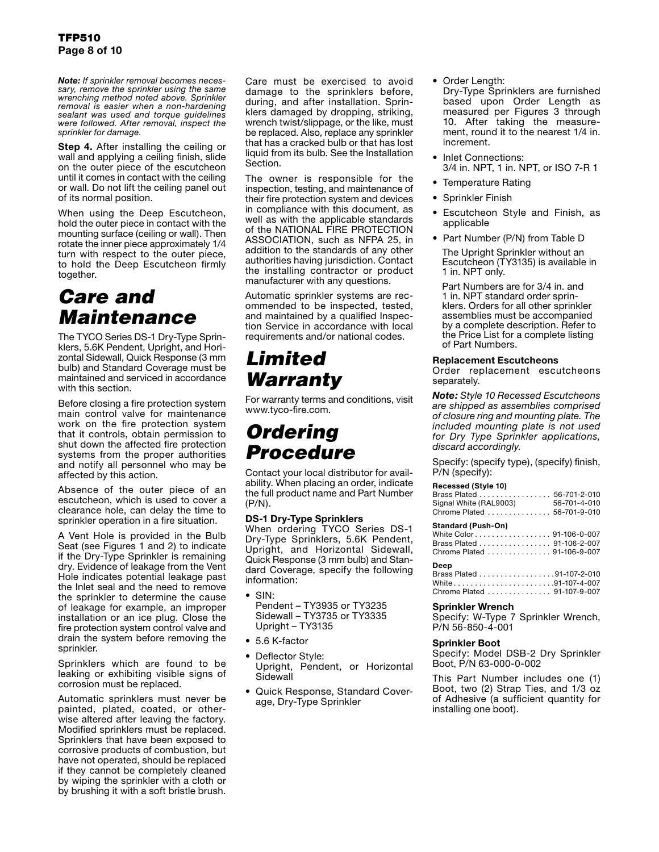*Note: If sprinkler removal becomes necessary, remove the sprinkler using the same wrenching method noted above. Sprinkler removal is easier when a non-hardening sealant was used and torque guidelines were followed. After removal, inspect the sprinkler for damage.*

**Step 4.** After installing the ceiling or wall and applying a ceiling finish, slide on the outer piece of the escutcheon until it comes in contact with the ceiling or wall. Do not lift the ceiling panel out of its normal position.

When using the Deep Escutcheon, hold the outer piece in contact with the mounting surface (ceiling or wall). Then rotate the inner piece approximately 1/4 turn with respect to the outer piece, to hold the Deep Escutcheon firmly together.

### *Care and Maintenance*

The TYCO Series DS-1 Dry-Type Sprinklers, 5.6K Pendent, Upright, and Horizontal Sidewall, Quick Response (3 mm bulb) and Standard Coverage must be maintained and serviced in accordance with this section.

Before closing a fire protection system main control valve for maintenance work on the fire protection system that it controls, obtain permission to shut down the affected fire protection systems from the proper authorities and notify all personnel who may be affected by this action.

Absence of the outer piece of an escutcheon, which is used to cover a clearance hole, can delay the time to sprinkler operation in a fire situation.

A Vent Hole is provided in the Bulb Seat (see Figures 1 and 2) to indicate if the Dry-Type Sprinkler is remaining dry. Evidence of leakage from the Vent Hole indicates potential leakage past the Inlet seal and the need to remove the sprinkler to determine the cause of leakage for example, an improper installation or an ice plug. Close the fire protection system control valve and drain the system before removing the sprinkler.

Sprinklers which are found to be leaking or exhibiting visible signs of corrosion must be replaced.

Automatic sprinklers must never be painted, plated, coated, or otherwise altered after leaving the factory. Modified sprinklers must be replaced. Sprinklers that have been exposed to corrosive products of combustion, but have not operated, should be replaced if they cannot be completely cleaned by wiping the sprinkler with a cloth or by brushing it with a soft bristle brush.

Care must be exercised to avoid damage to the sprinklers before, during, and after installation. Sprinklers damaged by dropping, striking, wrench twist/slippage, or the like, must be replaced. Also, replace any sprinkler that has a cracked bulb or that has lost liquid from its bulb. See the Installation Section.

The owner is responsible for the inspection, testing, and maintenance of their fire protection system and devices in compliance with this document, as well as with the applicable standards of the NATIONAL FIRE PROTECTION ASSOCIATION, such as NFPA 25, in addition to the standards of any other authorities having jurisdiction. Contact the installing contractor or product manufacturer with any questions.

Automatic sprinkler systems are recommended to be inspected, tested, and maintained by a qualified Inspection Service in accordance with local requirements and/or national codes.

### *Limited Warranty*

For warranty terms and conditions, visit www.tyco-fire.com.

### *Ordering Procedure*

Contact your local distributor for availability. When placing an order, indicate the full product name and Part Number (P/N).

#### DS-1 Dry-Type Sprinklers

When ordering TYCO Series DS-1 Dry-Type Sprinklers, 5.6K Pendent, Upright, and Horizontal Sidewall, Quick Response (3 mm bulb) and Standard Coverage, specify the following information:

• SIN: Pendent – TY3935 or TY3235 Sidewall – TY3735 or TY3335 Upright – TY3135

- 5.6 K-factor
- Deflector Style: Upright, Pendent, or Horizontal **Sidewall**
- Quick Response, Standard Coverage, Dry-Type Sprinkler

• Order Length:

Dry-Type Sprinklers are furnished based upon Order Length as measured per Figures 3 through 10. After taking the measurement, round it to the nearest 1/4 in. increment.

- Inlet Connections: 3/4 in. NPT, 1 in. NPT, or ISO 7-R 1
- Temperature Rating
- Sprinkler Finish
- Escutcheon Style and Finish, as applicable
- Part Number (P/N) from Table D

The Upright Sprinkler without an Escutcheon (TY3135) is available in 1 in. NPT only.

Part Numbers are for 3/4 in. and 1 in. NPT standard order sprinklers. Orders for all other sprinkler assemblies must be accompanied by a complete description. Refer to the Price List for a complete listing of Part Numbers.

#### Replacement Escutcheons

Order replacement escutcheons separately.

*Note: Style 10 Recessed Escutcheons are shipped as assemblies comprised of closure ring and mounting plate. The included mounting plate is not used for Dry Type Sprinkler applications, discard accordingly.*

Specify: (specify type), (specify) finish, P/N (specify):

#### **Recessed (Style 10)**

| Brass Plated 56-701-2-010   |              |
|-----------------------------|--------------|
| Signal White (RAL9003)      | 56-701-4-010 |
| Chrome Plated  56-701-9-010 |              |
|                             |              |

#### **Standard (Push-On)**

| White Color 91-106-0-007   |  |
|----------------------------|--|
| Brass Plated 91-106-2-007  |  |
| Chrome Plated 91-106-9-007 |  |
|                            |  |

| Deep                        |  |
|-----------------------------|--|
| Brass Plated 91-107-2-010   |  |
| White91-107-4-007           |  |
| Chrome Plated  91-107-9-007 |  |

#### Sprinkler Wrench

Specify: W-Type 7 Sprinkler Wrench, P/N 56-850-4-001

#### Sprinkler Boot

Specify: Model DSB-2 Dry Sprinkler Boot, P/N 63-000-0-002

This Part Number includes one (1) Boot, two (2) Strap Ties, and 1/3 oz of Adhesive (a sufficient quantity for installing one boot).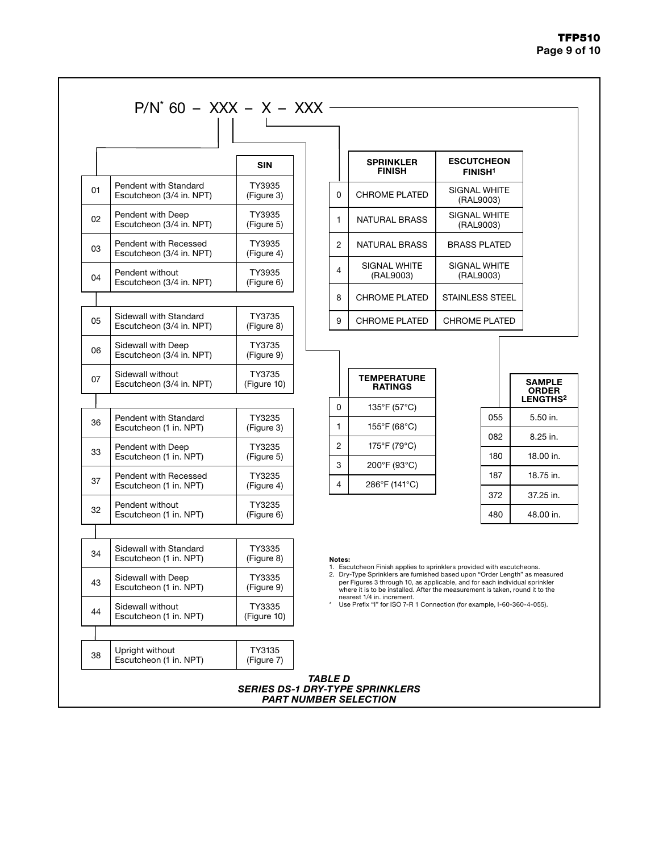#### TFP510 Page 9 of 10

|    |                                                    | <b>SIN</b>            |                | <b>SPRINKLER</b><br><b>FINISH</b>                                                                                                                                                                                                        |                        | <b>ESCUTCHEON</b><br><b>FINISH<sup>1</sup></b> |                               |
|----|----------------------------------------------------|-----------------------|----------------|------------------------------------------------------------------------------------------------------------------------------------------------------------------------------------------------------------------------------------------|------------------------|------------------------------------------------|-------------------------------|
| 01 | Pendent with Standard<br>Escutcheon (3/4 in. NPT)  | TY3935<br>(Figure 3)  | 0              | <b>CHROME PLATED</b>                                                                                                                                                                                                                     |                        | <b>SIGNAL WHITE</b><br>(RAL9003)               |                               |
| 02 | Pendent with Deep<br>Escutcheon (3/4 in, NPT)      | TY3935<br>(Figure 5)  | $\mathbf{1}$   | <b>NATURAL BRASS</b>                                                                                                                                                                                                                     |                        | SIGNAL WHITE<br>(RAL9003)                      |                               |
| 03 | Pendent with Recessed<br>Escutcheon (3/4 in. NPT)  | TY3935<br>(Figure 4)  | $\overline{c}$ | <b>NATURAL BRASS</b>                                                                                                                                                                                                                     |                        | <b>BRASS PLATED</b>                            |                               |
| 04 | Pendent without<br>Escutcheon (3/4 in. NPT)        | TY3935<br>(Figure 6)  | 4              | SIGNAL WHITE<br>(RAL9003)                                                                                                                                                                                                                |                        | SIGNAL WHITE<br>(RAL9003)                      |                               |
|    |                                                    |                       | 8              | <b>CHROME PLATED</b>                                                                                                                                                                                                                     | <b>STAINLESS STEEL</b> |                                                |                               |
| 05 | Sidewall with Standard<br>Escutcheon (3/4 in. NPT) | TY3735<br>(Figure 8)  | 9              | <b>CHROME PLATED</b>                                                                                                                                                                                                                     | <b>CHROME PLATED</b>   |                                                |                               |
| 06 | Sidewall with Deep<br>Escutcheon (3/4 in. NPT)     | TY3735<br>(Figure 9)  |                |                                                                                                                                                                                                                                          |                        |                                                |                               |
| 07 | Sidewall without<br>Escutcheon (3/4 in. NPT)       | TY3735<br>(Figure 10) |                | <b>TEMPERATURE</b><br><b>RATINGS</b>                                                                                                                                                                                                     |                        |                                                | <b>SAMPLE</b><br><b>ORDER</b> |
|    |                                                    |                       | 0              | 135°F (57°C)                                                                                                                                                                                                                             |                        |                                                | LENGTHS <sup>2</sup>          |
| 36 | Pendent with Standard<br>Escutcheon (1 in. NPT)    | TY3235<br>(Figure 3)  | 1              | 155°F (68°C)                                                                                                                                                                                                                             |                        | 055<br>082                                     | 5.50 in.<br>8.25 in.          |
| 33 | Pendent with Deep<br>Escutcheon (1 in. NPT)        | TY3235<br>(Figure 5)  | $\overline{c}$ | 175°F (79°C)                                                                                                                                                                                                                             |                        | 180                                            | 18.00 in.                     |
| 37 | Pendent with Recessed<br>Escutcheon (1 in. NPT)    | TY3235<br>(Figure 4)  | 3<br>4         | 200°F (93°C)<br>286°F (141°C)                                                                                                                                                                                                            |                        | 187                                            | 18.75 in.                     |
| 32 | Pendent without                                    | TY3235                |                |                                                                                                                                                                                                                                          |                        | 372                                            | 37.25 in.                     |
|    | Escutcheon (1 in. NPT)                             | (Figure 6)            |                |                                                                                                                                                                                                                                          |                        | 480                                            | 48.00 in.                     |
|    |                                                    |                       |                |                                                                                                                                                                                                                                          |                        |                                                |                               |
| 34 | Sidewall with Standard<br>Escutcheon (1 in. NPT)   | TY3335<br>(Figure 8)  | Notes:         | 1. Escutcheon Finish applies to sprinklers provided with escutcheons.                                                                                                                                                                    |                        |                                                |                               |
| 43 | Sidewall with Deep<br>Escutcheon (1 in. NPT)       | TY3335<br>(Figure 9)  |                | 2. Dry-Type Sprinklers are furnished based upon "Order Length" as measured<br>per Figures 3 through 10, as applicable, and for each individual sprinkler<br>where it is to be installed. After the measurement is taken, round it to the |                        |                                                |                               |
| 44 | Sidewall without<br>Escutcheon (1 in. NPT)         | TY3335<br>(Figure 10) |                | nearest 1/4 in. increment.<br>Use Prefix "I" for ISO 7-R 1 Connection (for example, I-60-360-4-055).                                                                                                                                     |                        |                                                |                               |
| 38 | Upright without<br>Escutcheon (1 in. NPT)          | TY3135<br>(Figure 7)  |                |                                                                                                                                                                                                                                          |                        |                                                |                               |